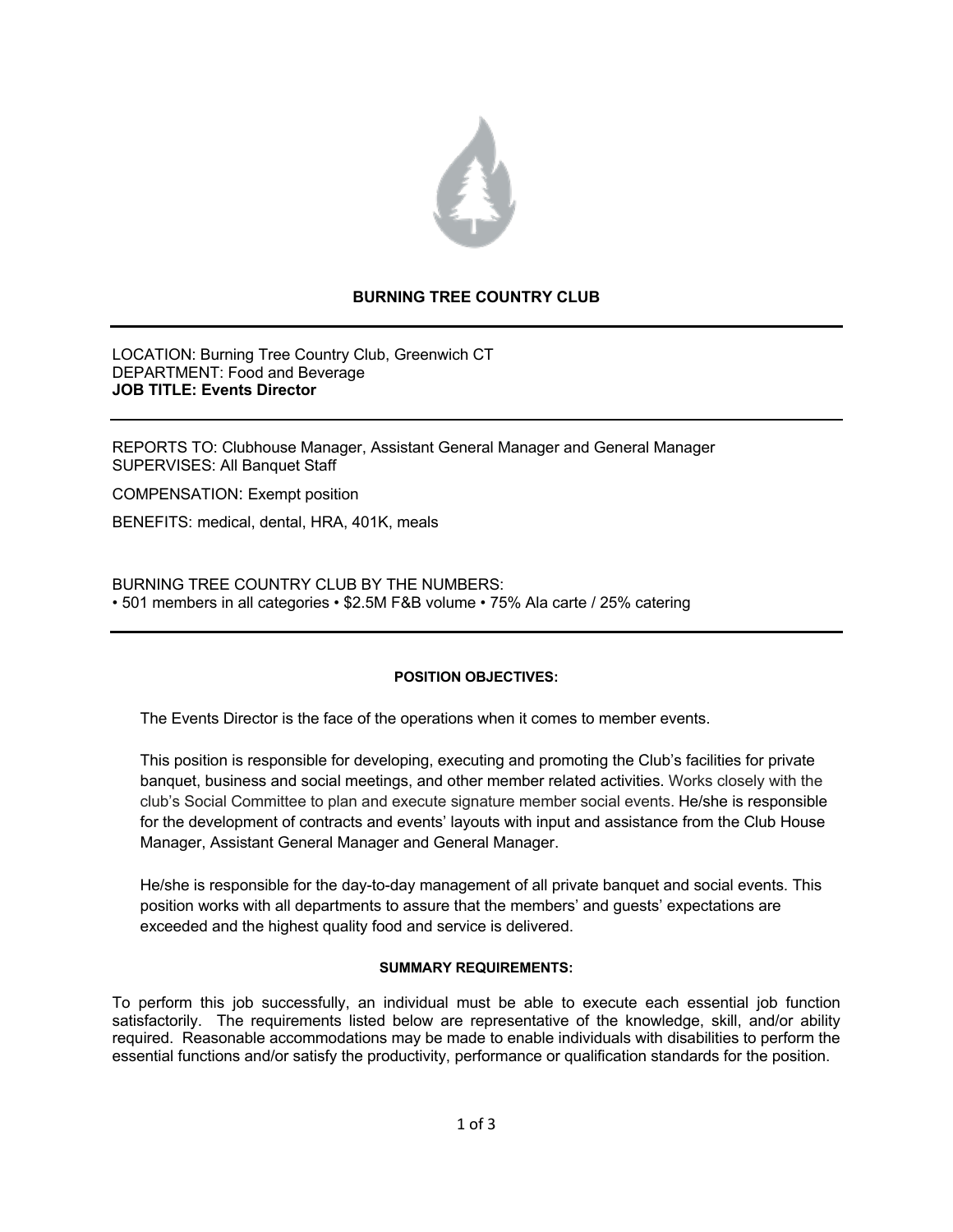

# **BURNING TREE COUNTRY CLUB**

LOCATION: Burning Tree Country Club, Greenwich CT DEPARTMENT: Food and Beverage **JOB TITLE: Events Director**

REPORTS TO: Clubhouse Manager, Assistant General Manager and General Manager SUPERVISES: All Banquet Staff

COMPENSATION: Exempt position

BENEFITS: medical, dental, HRA, 401K, meals

BURNING TREE COUNTRY CLUB BY THE NUMBERS: • 501 members in all categories • \$2.5M F&B volume • 75% Ala carte / 25% catering

# **POSITION OBJECTIVES:**

The Events Director is the face of the operations when it comes to member events.

This position is responsible for developing, executing and promoting the Club's facilities for private banquet, business and social meetings, and other member related activities. Works closely with the club's Social Committee to plan and execute signature member social events. He/she is responsible for the development of contracts and events' layouts with input and assistance from the Club House Manager, Assistant General Manager and General Manager.

He/she is responsible for the day-to-day management of all private banquet and social events. This position works with all departments to assure that the members' and guests' expectations are exceeded and the highest quality food and service is delivered.

# **SUMMARY REQUIREMENTS:**

To perform this job successfully, an individual must be able to execute each essential job function satisfactorily. The requirements listed below are representative of the knowledge, skill, and/or ability required. Reasonable accommodations may be made to enable individuals with disabilities to perform the essential functions and/or satisfy the productivity, performance or qualification standards for the position.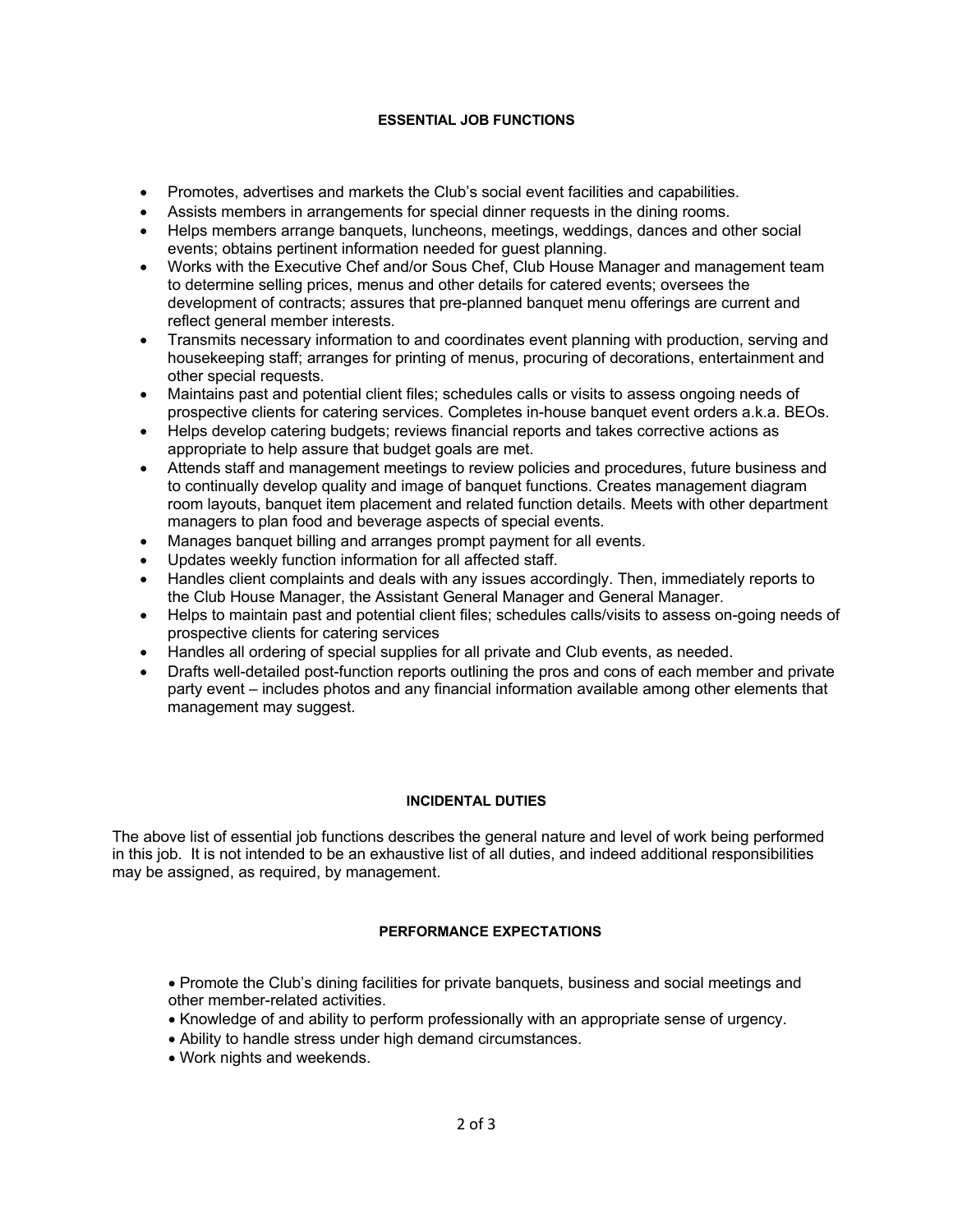# **ESSENTIAL JOB FUNCTIONS**

- Promotes, advertises and markets the Club's social event facilities and capabilities.
- Assists members in arrangements for special dinner requests in the dining rooms.
- Helps members arrange banquets, luncheons, meetings, weddings, dances and other social events; obtains pertinent information needed for guest planning.
- Works with the Executive Chef and/or Sous Chef, Club House Manager and management team to determine selling prices, menus and other details for catered events; oversees the development of contracts; assures that pre-planned banquet menu offerings are current and reflect general member interests.
- Transmits necessary information to and coordinates event planning with production, serving and housekeeping staff; arranges for printing of menus, procuring of decorations, entertainment and other special requests.
- Maintains past and potential client files; schedules calls or visits to assess ongoing needs of prospective clients for catering services. Completes in-house banquet event orders a.k.a. BEOs.
- Helps develop catering budgets; reviews financial reports and takes corrective actions as appropriate to help assure that budget goals are met.
- Attends staff and management meetings to review policies and procedures, future business and to continually develop quality and image of banquet functions. Creates management diagram room layouts, banquet item placement and related function details. Meets with other department managers to plan food and beverage aspects of special events.
- Manages banquet billing and arranges prompt payment for all events.
- Updates weekly function information for all affected staff.
- Handles client complaints and deals with any issues accordingly. Then, immediately reports to the Club House Manager, the Assistant General Manager and General Manager.
- Helps to maintain past and potential client files; schedules calls/visits to assess on-going needs of prospective clients for catering services
- Handles all ordering of special supplies for all private and Club events, as needed.
- Drafts well-detailed post-function reports outlining the pros and cons of each member and private party event – includes photos and any financial information available among other elements that management may suggest.

# **INCIDENTAL DUTIES**

The above list of essential job functions describes the general nature and level of work being performed in this job. It is not intended to be an exhaustive list of all duties, and indeed additional responsibilities may be assigned, as required, by management.

# **PERFORMANCE EXPECTATIONS**

- Promote the Club's dining facilities for private banquets, business and social meetings and other member-related activities.
- Knowledge of and ability to perform professionally with an appropriate sense of urgency.
- Ability to handle stress under high demand circumstances.
- Work nights and weekends.